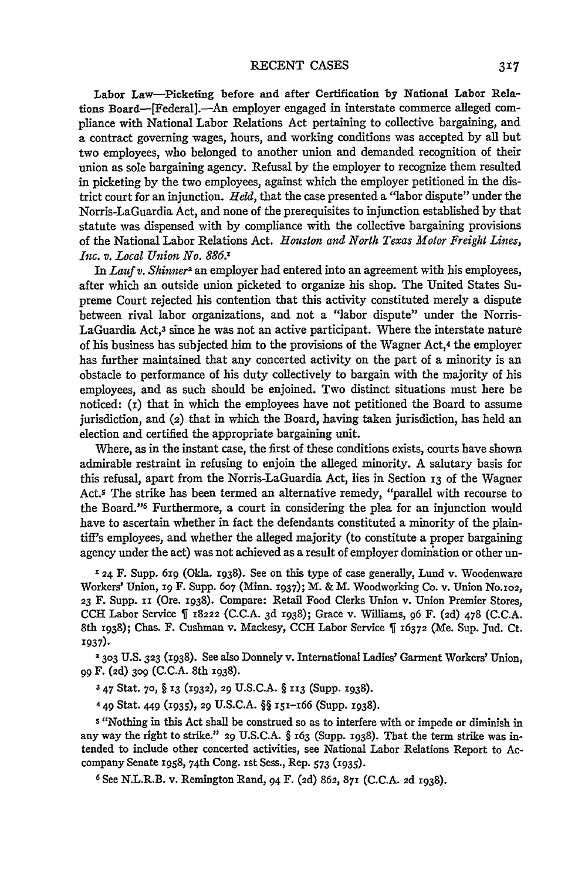Labor Law-Picketing before and after Certification **by** National Labor Relations Board-[Federal].-An employer engaged in interstate commerce alleged compliance with National Labor Relations Act pertaining to collective bargaining, and a contract governing wages, hours, and working conditions was accepted **by** all but two employees, who belonged to another union and demanded recognition of their union as sole bargaining agency. Refusal **by** the employer to recognize them resulted in picketing by the two employees, against which the employer petitioned in the district court for an injunction. *Held,* that the case presented a "labor dispute" under the Norris-LaGuardia Act, and none of the prerequisites to injunction established by that statute was dispensed with by compliance with the collective bargaining provisions of the National Labor Relations Act. *Houston and North Texas Motor Freight Lines, Inc. v. Local Union No. 886.'*

In *Lauf v. Shinner2* an employer had entered into an agreement with his employees, after which an outside union picketed to organize his shop. The United States Supreme Court rejected his contention that this activity constituted merely a dispute between rival labor organizations, and not a "labor dispute" under the Norris-LaGuardia Act, $3$  since he was not an active participant. Where the interstate nature of his business has subjected him to the provisions of the Wagner Act,4 the employer has further maintained that any concerted activity on the part of a minority is an obstacle to performance of his duty collectively to bargain with the majority of his employees, and as such should be enjoined. Two distinct situations must here be noticed:  $(i)$  that in which the employees have not petitioned the Board to assume jurisdiction, and (2) that in which the Board, having taken jurisdiction, has held an election and certified the appropriate bargaining unit.

Where, as in the instant case, the first of these conditions exists, courts have shown admirable restraint in refusing to enjoin the alleged minority. A salutary basis for this refusal, apart from the Norris-LaGuardia Act, lies in Section **13** of the Wagner Act.s The strike has been termed an alternative remedy, "parallel with recourse to the Board." Furthermore, a court in considering the plea for an injunction would have to ascertain whether in fact the defendants constituted a minority of the plaintiff's employees, and whether the alleged majority (to constitute a proper bargaining agency under the act) was not achieved as a result of employer domination or other un-

**'24** F. Supp. 61g (Okla. 1938). See on this type of case generally, Lund v. Woodenware Workers' Union, ig F. Supp. **607** (Minn. i937); M. & M. Woodworking Co. v. Union No.a02, **<sup>23</sup>**F. Supp. ix (Ore. 1938). Compare: Retail Food Clerks Union v. Union Premier Stores, CCH Labor Service 18222 (C.C.A. 3d **1938);** Grace v. Williams, **96** F. (2d) 478 (C.C.A. 8th 1938); Chas. F. Cushman v. Mackesy, CCH Labor Service ¶ 16372 (Me. Sup. Jud. Ct. **1937).**

**2303** U.S. **323** (I938). See also Donnely v. International Ladies' Garment Workers' Union, **<sup>99</sup>**F. (2d) **3o9** (C.C.A. 8th 1938).

**<sup>3</sup>**47 Stat. **70,** § 13 **(1932), 29** U.S.C.A. § **113** (Supp. 1938).

4 49 Stat. <sup>449</sup>**(I935),** 29 U.S.C.A. §§ 15i-i66 (Supp. **1938).**

**5** "Nothing in this Act shall be construed so as to interfere with or impede or diminish in any way the right to strike." 29 U.S.C.A. § 163 (Supp. 1938). That the term strike was intended to include other concerted activities, see National Labor Relations Report to Accompany Senate 1958, 74th Cong. 1st Sess., Rep. 573 (1935).

**6** See N.L.R.B. v. Remington Rand, 94 F. (2d) 862, 87i (C.C.A. **2d** 1938).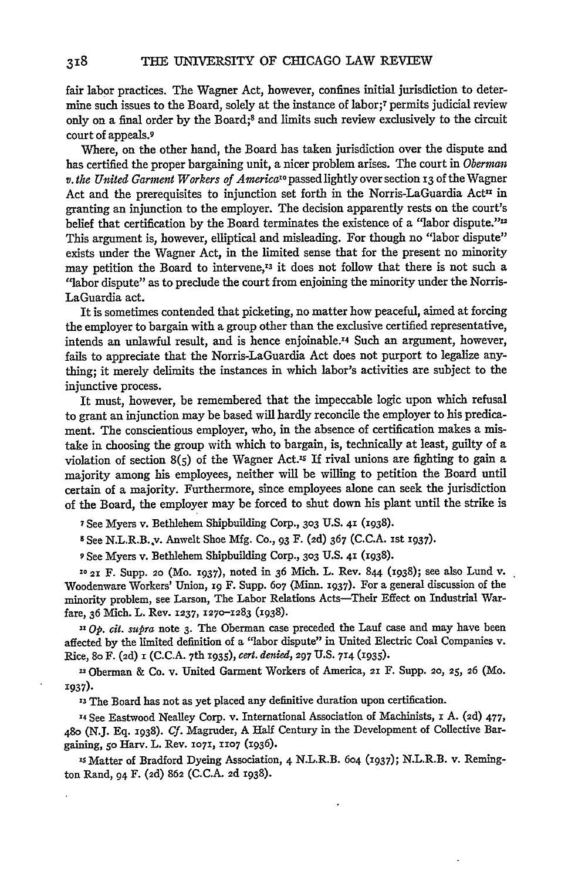fair labor practices. The Wagner Act, however, confines initial jurisdiction to determine such issues to the Board, solely at the instance of labor;7 permits judicial review only on a final order by the Board;8 and limits such review exclusively to the circuit court of appeals.9

Where, on the other hand, the Board has taken jurisdiction over the dispute and has certified the proper bargaining unit, a nicer problem arises. The court in *Oberman v. the United Garment Workers of Americalo* passedlightly over section 13 of the Wagner Act and the prerequisites to injunction set forth in the Norris-LaGuardia Act<sup>II</sup> in granting an injunction to the employer. The decision apparently rests on the court's belief that certification **by** the Board terminates the existence of a "labor dispute."12 This argument is, however, elliptical and misleading. For though no "labor dispute" exists under the Wagner Act, in the limited sense that for the present no minority may petition the Board to intervene, $13$  it does not follow that there is not such a "labor dispute" as to preclude the court from enjoining the minority under the Norris-LaGuardia act.

It is sometimes contended that picketing, no matter how peaceful, aimed at forcing the employer to bargain with a group other than the exclusive certified representative, intends an unlawful result, and is hence enjoinable.14 Such an argument, however, fails to appreciate that the Norris-LaGuardia Act does not purport to legalize anything; it merely delimits the instances in which labor's activities are subject to the injunctive process.

It must, however, be remembered that the impeccable logic upon which refusal to grant an injunction may be based will hardly reconcile the employer to his predicament. The conscientious employer, who, in the absence of certification makes a mistake in choosing the group with which to bargain, is, technically at least, guilty of a violation of section  $8(5)$  of the Wagner Act.<sup>15</sup> If rival unions are fighting to gain a majority among his employees, neither will be willing to petition the Board until certain of a majority. Furthermore, since employees alone can seek the jurisdiction of the Board, the employer may be forced to shut down his plant until the strike is

**7 See** Myers v. Bethlehem Shipbuilding Corp., **303 U.S.** 41 **(1938).**

**8** See N.L.R.B..v. Anwelt Shoe **Mfg.** Co., **93** F. **(2d) 367 (C.C.A. Ist 1937).**

**9** See Myers v. Bethlehem Shipbuilding Corp., **303 U.S. 41 (1938).**

**"0 21** F. **Supp. 20** (Mo. **1937),** noted in 36 Mich. L. Rev. 844 (1938); see also Lund v. Woodenware Workers' Union, 19 F. Supp. 607 (Minn. 1937). For a general discussion of the minority problem, see Larson, The Labor Relations Acts-Their Effect on Industrial Warfare, **36** Mich. L. Rev. **1237, 1270-1283 (1938).**

*11 Op. cit. supra* note **3.** The Oberman case preceded the Lauf case and may have been affected by the limited definition of a "labor dispute" in United Electric Coal Companies v. Rice, 8o F. (2d) **i (C.C.A.** <sup>7</sup> th 1935), *cert. denied,* **297 U.S. 714 (I935).**

-Oberman **&** Co. v. United Garment Workers of America, **21** F. Supp. **20, 25, 26** (Mo. 1937).

**'3** The Board has not as yet placed any definitive duration upon certification.

**'4** See Eastwood Nealley Corp. v. International Association of Machinists, i A. **(2d) 477, 480** (N.J. Eq. **1938).** *Cf.* Magruder, **A** Half Century in the Development of Collective Bargaining, **5o** Harv. L. Rev. **1071, 1107** (1936).

**is** Matter of Bradford Dyeing Association, 4 N.L.R.B. **604 (i937);** N.L.R.B. v. Remington Rand, **94** F. **(2d) 862 (C.C.A. 2d x938).**